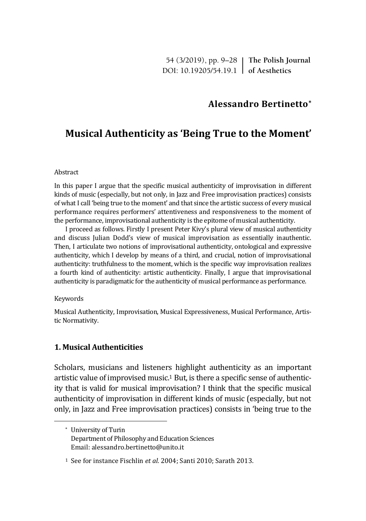54 (3/2019), pp. 9–28 **The Polish Journal** DOI: 10.19205/54.19.1 **of Aesthetics**

# **Alessandro Bertinetto\***

# **Musical Authenticity as 'Being True to the Moment'**

### Abstract

In this paper I argue that the specific musical authenticity of improvisation in different kinds of music (especially, but not only, in Jazz and Free improvisation practices) consists of what I call 'being true to the moment' and that since the artistic success of every musical performance requires performers' attentiveness and responsiveness to the moment of the performance, improvisational authenticity is the epitome of musical authenticity.

I proceed as follows. Firstly I present Peter Kivy's plural view of musical authenticity and discuss Julian Dodd's view of musical improvisation as essentially inauthentic. Then, I articulate two notions of improvisational authenticity, ontological and expressive authenticity, which I develop by means of a third, and crucial, notion of improvisational authenticity: truthfulness to the moment, which is the specific way improvisation realizes a fourth kind of authenticity: artistic authenticity. Finally, I argue that improvisational authenticity is paradigmatic for the authenticity of musical performance as performance.

#### Keywords

 $\overline{a}$ 

Musical Authenticity, Improvisation, Musical Expressiveness, Musical Performance, Artistic Normativity.

# **1. Musical Authenticities**

Scholars, musicians and listeners highlight authenticity as an important artistic value of improvised music.<sup>1</sup> But, is there a specific sense of authenticity that is valid for musical improvisation? I think that the specific musical authenticity of improvisation in different kinds of music (especially, but not only, in Jazz and Free improvisation practices) consists in 'being true to the

<sup>\*</sup> University of Turin Department of Philosophy and Education Sciences Email: alessandro.bertinetto@unito.it

<sup>1</sup> See for instance Fischlin *et al.* 2004; Santi 2010; Sarath 2013.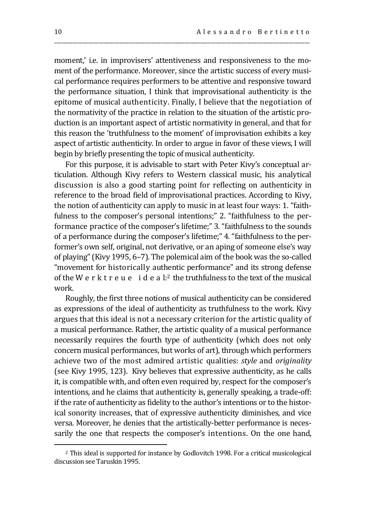moment,' i.e. in improvisers' attentiveness and responsiveness to the moment of the performance. Moreover, since the artistic success of every musical performance requires performers to be attentive and responsive toward the performance situation, I think that improvisational authenticity is the epitome of musical authenticity. Finally, I believe that the negotiation of the normativity of the practice in relation to the situation of the artistic production is an important aspect of artistic normativity in general, and that for this reason the 'truthfulness to the moment' of improvisation exhibits a key aspect of artistic authenticity. In order to argue in favor of these views, I will begin by briefly presenting the topic of musical authenticity.

\_\_\_\_\_\_\_\_\_\_\_\_\_\_\_\_\_\_\_\_\_\_\_\_\_\_\_\_\_\_\_\_\_\_\_\_\_\_\_\_\_\_\_\_\_\_\_\_\_\_\_\_\_\_\_\_\_\_\_\_\_\_\_\_\_\_\_\_\_\_\_\_\_\_\_\_\_\_\_\_\_\_\_\_\_\_\_\_\_\_\_\_\_\_\_\_\_\_

For this purpose, it is advisable to start with Peter Kivy's conceptual articulation. Although Kivy refers to Western classical music, his analytical discussion is also a good starting point for reflecting on authenticity in reference to the broad field of improvisational practices. According to Kivy, the notion of authenticity can apply to music in at least four ways: 1. "faithfulness to the composer's personal intentions;" 2. "faithfulness to the performance practice of the composer's lifetime;" 3. "faithfulness to the sounds of a performance during the composer's lifetime;" 4. "faithfulness to the performer's own self, original, not derivative, or an aping of someone else's way of playing" (Kivy 1995, 6–7). The polemical aim of the book was the so-called "movement for historically authentic performance" and its strong defense of the W e r k t r e u e i d e a  $\mathbf{l}$ : the truthfulness to the text of the musical work.

Roughly, the first three notions of musical authenticity can be considered as expressions of the ideal of authenticity as truthfulness to the work. Kivy argues that this ideal is not a necessary criterion for the artistic quality of a musical performance. Rather, the artistic quality of a musical performance necessarily requires the fourth type of authenticity (which does not only concern musical performances, but works of art), through which performers achieve two of the most admired artistic qualities: *style* and *originality*  (see Kivy 1995, 123). Kivy believes that expressive authenticity, as he calls it, is compatible with, and often even required by, respect for the composer's intentions, and he claims that authenticity is, generally speaking, a trade-off: if the rate of authenticity as fidelity to the author's intentions or to the historical sonority increases, that of expressive authenticity diminishes, and vice versa. Moreover, he denies that the artistically-better performance is necessarily the one that respects the composer's intentions. On the one hand,

<sup>2</sup> This ideal is supported for instance by Godlovitch 1998. For a critical musicological discussion see Taruskin 1995.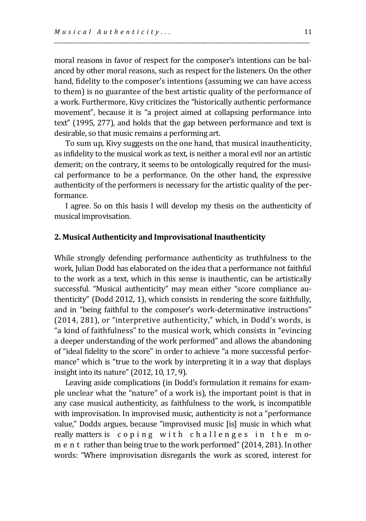moral reasons in favor of respect for the composer's intentions can be balanced by other moral reasons, such as respect for the listeners. On the other hand, fidelity to the composer's intentions (assuming we can have access to them) is no guarantee of the best artistic quality of the performance of a work. Furthermore, Kivy criticizes the "historically authentic performance movement", because it is "a project aimed at collapsing performance into text" (1995, 277), and holds that the gap between performance and text is desirable, so that music remains a performing art.

\_\_\_\_\_\_\_\_\_\_\_\_\_\_\_\_\_\_\_\_\_\_\_\_\_\_\_\_\_\_\_\_\_\_\_\_\_\_\_\_\_\_\_\_\_\_\_\_\_\_\_\_\_\_\_\_\_\_\_\_\_\_\_\_\_\_\_\_\_\_\_\_\_\_\_\_\_\_\_\_\_\_\_\_\_\_\_\_\_\_\_\_\_\_\_\_\_\_

To sum up, Kivy suggests on the one hand, that musical inauthenticity, as infidelity to the musical work as text, is neither a moral evil nor an artistic demerit; on the contrary, it seems to be ontologically required for the musical performance to be a performance. On the other hand, the expressive authenticity of the performers is necessary for the artistic quality of the performance.

I agree. So on this basis I will develop my thesis on the authenticity of musical improvisation.

### **2. Musical Authenticity and Improvisational Inauthenticity**

While strongly defending performance authenticity as truthfulness to the work, Julian Dodd has elaborated on the idea that a performance not faithful to the work as a text, which in this sense is inauthentic, can be artistically successful. "Musical authenticity" may mean either "score compliance authenticity" (Dodd 2012, 1), which consists in rendering the score faithfully, and in "being faithful to the composer's work-determinative instructions" (2014, 281), or "interpretive authenticity," which, in Dodd's words, is "a kind of faithfulness" to the musical work, which consists in "evincing a deeper understanding of the work performed" and allows the abandoning of "ideal fidelity to the score" in order to achieve "a more successful performance" which is "true to the work by interpreting it in a way that displays insight into its nature" (2012, 10, 17, 9).

Leaving aside complications (in Dodd's formulation it remains for example unclear what the "nature" of a work is), the important point is that in any case musical authenticity, as faithfulness to the work, is incompatible with improvisation. In improvised music, authenticity is not a "performance value," Dodds argues, because "improvised music [is] music in which what really matters is coping with challenges in the mom e n t rather than being true to the work performed" (2014, 281). In other words: "Where improvisation disregards the work as scored, interest for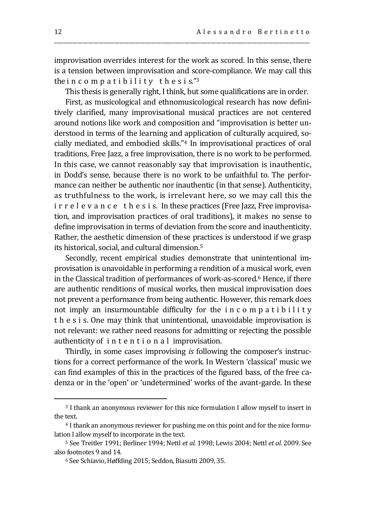improvisation overrides interest for the work as scored. In this sense, there is a tension between improvisation and score-compliance. We may call this the incompatibility the sis." $3$ 

\_\_\_\_\_\_\_\_\_\_\_\_\_\_\_\_\_\_\_\_\_\_\_\_\_\_\_\_\_\_\_\_\_\_\_\_\_\_\_\_\_\_\_\_\_\_\_\_\_\_\_\_\_\_\_\_\_\_\_\_\_\_\_\_\_\_\_\_\_\_\_\_\_\_\_\_\_\_\_\_\_\_\_\_\_\_\_\_\_\_\_\_\_\_\_\_\_\_

This thesis is generally right, I think, but some qualifications are in order.

First, as musicological and ethnomusicological research has now definitively clarified, many improvisational musical practices are not centered around notions like work and composition and "improvisation is better understood in terms of the learning and application of culturally acquired, socially mediated, and embodied skills."<sup>4</sup> In improvisational practices of oral traditions, Free Jazz, a free improvisation, there is no work to be performed. In this case, we cannot reasonably say that improvisation is inauthentic, in Dodd's sense, because there is no work to be unfaithful to. The performance can neither be authentic nor inauthentic (in that sense). Authenticity, as truthfulness to the work, is irrelevant here, so we may call this the i r r e l e v a n c e t h e s i s. In these practices (Free Jazz, Free improvisation, and improvisation practices of oral traditions), it makes no sense to define improvisation in terms of deviation from the score and inauthenticity. Rather, the aesthetic dimension of these practices is understood if we grasp its historical, social, and cultural dimension.<sup>5</sup>

Secondly, recent empirical studies demonstrate that unintentional improvisation is unavoidable in performing a rendition of a musical work, even in the Classical tradition of performances of work-as-scored. <sup>6</sup> Hence, if there are authentic renditions of musical works, then musical improvisation does not prevent a performance from being authentic. However, this remark does not imply an insurmountable difficulty for the i n c o m p a t i b i l i t y t h e s i s. One may think that unintentional, unavoidable improvisation is not relevant: we rather need reasons for admitting or rejecting the possible authenticity of i n t e n t i o n a l improvisation.

Thirdly, in some cases improvising *is* following the composer's instructions for a correct performance of the work. In Western 'classical' music we can find examples of this in the practices of the figured bass, of the free cadenza or in the 'open' or 'undetermined' works of the avant-garde. In these

<sup>3</sup> I thank an anonymous reviewer for this nice formulation I allow myself to insert in the text.

<sup>4</sup> I thank an anonymous reviewer for pushing me on this point and for the nice formulation I allow myself to incorporate in the text.

<sup>5</sup> See Treitler 1991; Berliner 1994; Nettl *et al.* 1998; Lewis 2004; Nettl *et al.* 2009. See also footnotes 9 and 14.

<sup>6</sup> See Schiavio, Høffding 2015; Seddon, Biasutti 2009, 35.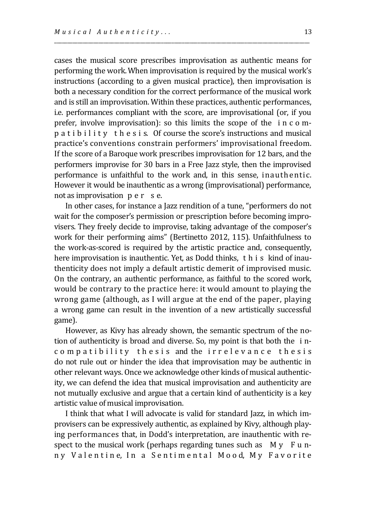cases the musical score prescribes improvisation as authentic means for performing the work.When improvisation is required by the musical work's instructions (according to a given musical practice), then improvisation is both a necessary condition for the correct performance of the musical work and is still an improvisation. Within these practices, authentic performances, i.e. performances compliant with the score, are improvisational (or, if you prefer, involve improvisation): so this limits the scope of the i n c o mp a t i b i l i t y t h e s i s*.* Of course the score's instructions and musical practice's conventions constrain performers' improvisational freedom. If the score of a Baroque work prescribes improvisation for 12 bars, and the performers improvise for 30 bars in a Free Jazz style, then the improvised performance is unfaithful to the work and, in this sense, inauthentic. However it would be inauthentic as a wrong (improvisational) performance, not as improvisation p e r s e.

\_\_\_\_\_\_\_\_\_\_\_\_\_\_\_\_\_\_\_\_\_\_\_\_\_\_\_\_\_\_\_\_\_\_\_\_\_\_\_\_\_\_\_\_\_\_\_\_\_\_\_\_\_\_\_\_\_\_\_\_\_\_\_\_\_\_\_\_\_\_\_\_\_\_\_\_\_\_\_\_\_\_\_\_\_\_\_\_\_\_\_\_\_\_\_\_\_\_

In other cases, for instance a Jazz rendition of a tune, "performers do not wait for the composer's permission or prescription before becoming improvisers. They freely decide to improvise, taking advantage of the composer's work for their performing aims" (Bertinetto 2012, 115). Unfaithfulness to the work-as-scored is required by the artistic practice and, consequently, here improvisation is inauthentic. Yet, as Dodd thinks, t h i s kind of inauthenticity does not imply a default artistic demerit of improvised music. On the contrary, an authentic performance, as faithful to the scored work, would be contrary to the practice here: it would amount to playing the wrong game (although, as I will argue at the end of the paper, playing a wrong game can result in the invention of a new artistically successful game).

However, as Kivy has already shown, the semantic spectrum of the notion of authenticity is broad and diverse. So, my point is that both the i ncompatibility thesis and the irrelevance thesis do not rule out or hinder the idea that improvisation may be authentic in other relevant ways. Once we acknowledge other kinds of musical authenticity, we can defend the idea that musical improvisation and authenticity are not mutually exclusive and argue that a certain kind of authenticity is a key artistic value of musical improvisation.

I think that what I will advocate is valid for standard Jazz, in which improvisers can be expressively authentic, as explained by Kivy, although playing performances that, in Dodd's interpretation, are inauthentic with respect to the musical work (perhaps regarding tunes such as  $M y$  F u nny Valentine, In a Sentimental Mood, My Favorite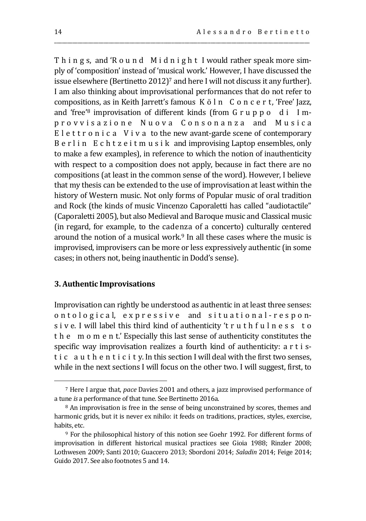Things, and 'Round Midnight I would rather speak more simply of 'composition' instead of 'musical work.' However, I have discussed the issue elsewhere (Bertinetto 2012)<sup>7</sup> and here I will not discuss it any further). I am also thinking about improvisational performances that do not refer to compositions, as in Keith Jarrett's famous K ö l n C o n c e r t, 'Free' Jazz, and 'free'<sup>8</sup> improvisation of different kinds (from G r u p p o d i I mp r o v v i s a z i o n e N u o v a C o n s o n a n z a and M u s i c a E l e t t r o n i c a V i v a to the new avant-garde scene of contemporary B e r l i n E c h t z e i t m u s i k and improvising Laptop ensembles, only to make a few examples), in reference to which the notion of inauthenticity with respect to a composition does not apply, because in fact there are no compositions (at least in the common sense of the word). However, I believe that my thesis can be extended to the use of improvisation at least within the history of Western music. Not only forms of Popular music of oral tradition and Rock (the kinds of music Vincenzo Caporaletti has called "audiotactile" (Caporaletti 2005), but also Medieval and Baroque music and Classical music (in regard, for example, to the cadenza of a concerto) culturally centered around the notion of a musical work.<sup>9</sup> In all these cases where the music is improvised, improvisers can be more or less expressively authentic (in some cases; in others not, being inauthentic in Dodd's sense).

\_\_\_\_\_\_\_\_\_\_\_\_\_\_\_\_\_\_\_\_\_\_\_\_\_\_\_\_\_\_\_\_\_\_\_\_\_\_\_\_\_\_\_\_\_\_\_\_\_\_\_\_\_\_\_\_\_\_\_\_\_\_\_\_\_\_\_\_\_\_\_\_\_\_\_\_\_\_\_\_\_\_\_\_\_\_\_\_\_\_\_\_\_\_\_\_\_\_

## **3. Authentic Improvisations**

 $\overline{a}$ 

Improvisation can rightly be understood as authentic in at least three senses: ontological, expressive and situational-responsive. I will label this third kind of authenticity 't ruth fulness to t h e m o m e n t.' Especially this last sense of authenticity constitutes the specific way improvisation realizes a fourth kind of authenticity: a r t i st i c a u t h e n t i c i t y. In this section I will deal with the first two senses, while in the next sections I will focus on the other two. I will suggest, first, to

<sup>7</sup> Here I argue that, *pace* Davies 2001 and others, a jazz improvised performance of a tune *is* a performance of that tune. See Bertinetto 2016a.

<sup>8</sup> An improvisation is free in the sense of being unconstrained by scores, themes and harmonic grids, but it is never ex nihilo: it feeds on traditions, practices, styles, exercise, habits, etc.

<sup>9</sup> For the philosophical history of this notion see Goehr 1992. For different forms of improvisation in different historical musical practices see Gioia 1988; Rinzler 2008; Lothwesen 2009; Santi 2010; Guaccero 2013; Sbordoni 2014; *Saladin* 2014; Feige 2014; Guido 2017. See also footnotes 5 and 14.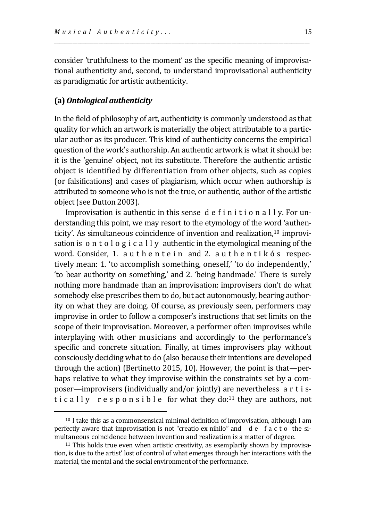consider 'truthfulness to the moment' as the specific meaning of improvisational authenticity and, second, to understand improvisational authenticity as paradigmatic for artistic authenticity.

\_\_\_\_\_\_\_\_\_\_\_\_\_\_\_\_\_\_\_\_\_\_\_\_\_\_\_\_\_\_\_\_\_\_\_\_\_\_\_\_\_\_\_\_\_\_\_\_\_\_\_\_\_\_\_\_\_\_\_\_\_\_\_\_\_\_\_\_\_\_\_\_\_\_\_\_\_\_\_\_\_\_\_\_\_\_\_\_\_\_\_\_\_\_\_\_\_\_

## **(a)** *Ontological authenticity*

 $\overline{a}$ 

In the field of philosophy of art, authenticity is commonly understood as that quality for which an artwork is materially the object attributable to a particular author as its producer. This kind of authenticity concerns the empirical question of the work's authorship. An authentic artwork is what it should be: it is the 'genuine' object, not its substitute. Therefore the authentic artistic object is identified by differentiation from other objects, such as copies (or falsifications) and cases of plagiarism, which occur when authorship is attributed to someone who is not the true, or authentic, author of the artistic object (see Dutton 2003).

Improvisation is authentic in this sense d e f i n i t i o n a l l y. For understanding this point, we may resort to the etymology of the word 'authenticity'. As simultaneous coincidence of invention and realization,<sup>10</sup> improvisation is o n t o l o g i c a l l y authentic in the etymological meaning of the word. Consider, 1. authentein and 2. authentik os respectively mean: 1. 'to accomplish something, oneself,' 'to do independently,' 'to bear authority on something,' and 2. 'being handmade.' There is surely nothing more handmade than an improvisation: improvisers don't do what somebody else prescribes them to do, but act autonomously, bearing authority on what they are doing. Of course, as previously seen, performers may improvise in order to follow a composer's instructions that set limits on the scope of their improvisation. Moreover, a performer often improvises while interplaying with other musicians and accordingly to the performance's specific and concrete situation. Finally, at times improvisers play without consciously deciding what to do (also because their intentions are developed through the action) (Bertinetto 2015, 10). However, the point is that—perhaps relative to what they improvise within the constraints set by a composer—improvisers (individually and/or jointly) are nevertheless a r t i stic ally responsible for what they do:<sup>11</sup> they are authors, not

<sup>10</sup> I take this as a commonsensical minimal definition of improvisation, although I am perfectly aware that improvisation is not "creatio ex nihilo" and d e f a c t o the simultaneous coincidence between invention and realization is a matter of degree.

<sup>&</sup>lt;sup>11</sup> This holds true even when artistic creativity, as exemplarily shown by improvisation, is due to the artist' lost of control of what emerges through her interactions with the material, the mental and the social environment of the performance.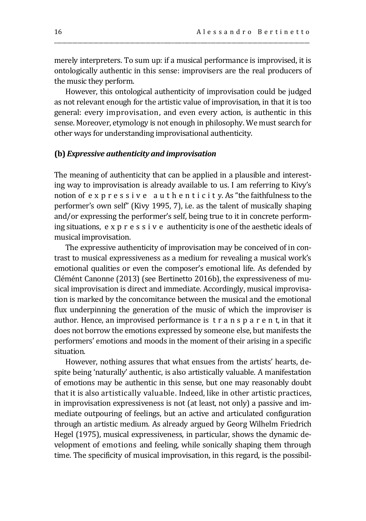merely interpreters. To sum up: if a musical performance is improvised, it is ontologically authentic in this sense: improvisers are the real producers of the music they perform.

\_\_\_\_\_\_\_\_\_\_\_\_\_\_\_\_\_\_\_\_\_\_\_\_\_\_\_\_\_\_\_\_\_\_\_\_\_\_\_\_\_\_\_\_\_\_\_\_\_\_\_\_\_\_\_\_\_\_\_\_\_\_\_\_\_\_\_\_\_\_\_\_\_\_\_\_\_\_\_\_\_\_\_\_\_\_\_\_\_\_\_\_\_\_\_\_\_\_

However, this ontological authenticity of improvisation could be judged as not relevant enough for the artistic value of improvisation, in that it is too general: every improvisation, and even every action, is authentic in this sense. Moreover, etymology is not enough in philosophy. We must search for other ways for understanding improvisational authenticity.

#### **(b)** *Expressive authenticity and improvisation*

The meaning of authenticity that can be applied in a plausible and interesting way to improvisation is already available to us. I am referring to Kivy's notion of e x p r e s s i v e a u t h e n t i c i t y. As "the faithfulness to the performer's own self" (Kivy 1995, 7), i.e. as the talent of musically shaping and/or expressing the performer's self, being true to it in concrete performing situations, e x p r e s s i v e authenticity is one of the aesthetic ideals of musical improvisation.

The expressive authenticity of improvisation may be conceived of in contrast to musical expressiveness as a medium for revealing a musical work's emotional qualities or even the composer's emotional life. As defended by Clémént Canonne (2013) (see Bertinetto 2016b), the expressiveness of musical improvisation is direct and immediate. Accordingly, musical improvisation is marked by the concomitance between the musical and the emotional flux underpinning the generation of the music of which the improviser is author. Hence, an improvised performance is t r a n s p a r e n t, in that it does not borrow the emotions expressed by someone else, but manifests the performers' emotions and moods in the moment of their arising in a specific situation.

However, nothing assures that what ensues from the artists' hearts, despite being 'naturally' authentic, is also artistically valuable. A manifestation of emotions may be authentic in this sense, but one may reasonably doubt that it is also artistically valuable. Indeed, like in other artistic practices, in improvisation expressiveness is not (at least, not only) a passive and immediate outpouring of feelings, but an active and articulated configuration through an artistic medium. As already argued by Georg Wilhelm Friedrich Hegel (1975), musical expressiveness, in particular, shows the dynamic development of emotions and feeling, while sonically shaping them through time. The specificity of musical improvisation, in this regard, is the possibil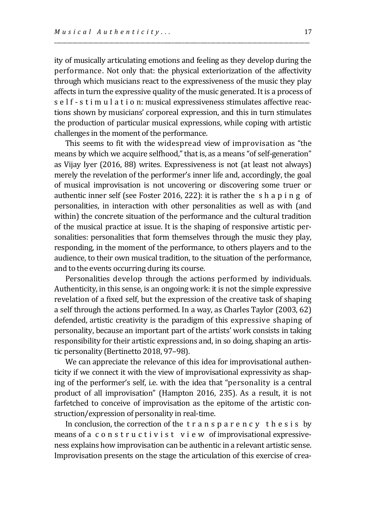ity of musically articulating emotions and feeling as they develop during the performance. Not only that: the physical exteriorization of the affectivity through which musicians react to the expressiveness of the music they play affects in turn the expressive quality of the music generated. It is a process of s e l f - s t i m u l a t i o n: musical expressiveness stimulates affective reactions shown by musicians' corporeal expression, and this in turn stimulates the production of particular musical expressions, while coping with artistic challenges in the moment of the performance.

\_\_\_\_\_\_\_\_\_\_\_\_\_\_\_\_\_\_\_\_\_\_\_\_\_\_\_\_\_\_\_\_\_\_\_\_\_\_\_\_\_\_\_\_\_\_\_\_\_\_\_\_\_\_\_\_\_\_\_\_\_\_\_\_\_\_\_\_\_\_\_\_\_\_\_\_\_\_\_\_\_\_\_\_\_\_\_\_\_\_\_\_\_\_\_\_\_\_

This seems to fit with the widespread view of improvisation as "the means by which we acquire selfhood," that is, as a means "of self-generation" as Vijay Iyer (2016, 88) writes. Expressiveness is not (at least not always) merely the revelation of the performer's inner life and, accordingly, the goal of musical improvisation is not uncovering or discovering some truer or authentic inner self (see Foster 2016, 222): it is rather the s h a p i n g of personalities, in interaction with other personalities as well as with (and within) the concrete situation of the performance and the cultural tradition of the musical practice at issue. It is the shaping of responsive artistic personalities: personalities that form themselves through the music they play, responding, in the moment of the performance, to others players and to the audience, to their own musical tradition, to the situation of the performance, and to the events occurring during its course.

Personalities develop through the actions performed by individuals. Authenticity, in this sense, is an ongoing work: it is not the simple expressive revelation of a fixed self, but the expression of the creative task of shaping a self through the actions performed. In a way, as Charles Taylor (2003, 62) defended, artistic creativity is the paradigm of this expressive shaping of personality, because an important part of the artists' work consists in taking responsibility for their artistic expressions and, in so doing, shaping an artistic personality (Bertinetto 2018, 97–98).

We can appreciate the relevance of this idea for improvisational authenticity if we connect it with the view of improvisational expressivity as shaping of the performer's self, i.e. with the idea that "personality is a central product of all improvisation" (Hampton 2016, 235). As a result, it is not farfetched to conceive of improvisation as the epitome of the artistic construction/expression of personality in real-time.

In conclusion, the correction of the  $t r a n s p a r e n c v t h e s i s b v$ means of a c o n s t r u c t i v i s t v i e w of improvisational expressiveness explains how improvisation can be authentic in a relevant artistic sense. Improvisation presents on the stage the articulation of this exercise of crea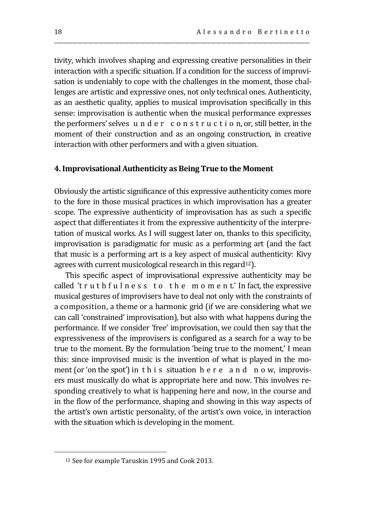tivity, which involves shaping and expressing creative personalities in their interaction with a specific situation. If a condition for the success of improvisation is undeniably to cope with the challenges in the moment, those challenges are artistic and expressive ones, not only technical ones. Authenticity, as an aesthetic quality, applies to musical improvisation specifically in this sense: improvisation is authentic when the musical performance expresses the performers' selves u n d e r c o n s t r u c t i o n, or, still better, in the moment of their construction and as an ongoing construction, in creative interaction with other performers and with a given situation.

\_\_\_\_\_\_\_\_\_\_\_\_\_\_\_\_\_\_\_\_\_\_\_\_\_\_\_\_\_\_\_\_\_\_\_\_\_\_\_\_\_\_\_\_\_\_\_\_\_\_\_\_\_\_\_\_\_\_\_\_\_\_\_\_\_\_\_\_\_\_\_\_\_\_\_\_\_\_\_\_\_\_\_\_\_\_\_\_\_\_\_\_\_\_\_\_\_\_

## **4. Improvisational Authenticity as Being True to the Moment**

Obviously the artistic significance of this expressive authenticity comes more to the fore in those musical practices in which improvisation has a greater scope. The expressive authenticity of improvisation has as such a specific aspect that differentiates it from the expressive authenticity of the interpretation of musical works. As I will suggest later on, thanks to this specificity, improvisation is paradigmatic for music as a performing art (and the fact that music is a performing art is a key aspect of musical authenticity: Kivy agrees with current musicological research in this regard<sup>12</sup>).

This specific aspect of improvisational expressive authenticity may be called 't r u t h f u l n e s s t o t h e m o m e n t' In fact, the expressive musical gestures of improvisers have to deal not only with the constraints of a composition, a theme or a harmonic grid (if we are considering what we can call 'constrained' improvisation), but also with what happens during the performance. If we consider 'free' improvisation, we could then say that the expressiveness of the improvisers is configured as a search for a way to be true to the moment. By the formulation 'being true to the moment,' I mean this: since improvised music is the invention of what is played in the moment (or 'on the spot') in this situation h e r e a n d n o w, improvisers must musically do what is appropriate here and now. This involves responding creatively to what is happening here and now, in the course and in the flow of the performance, shaping and showing in this way aspects of the artist's own artistic personality, of the artist's own voice, in interaction with the situation which is developing in the moment.

<sup>12</sup> See for example Taruskin 1995 and Cook 2013.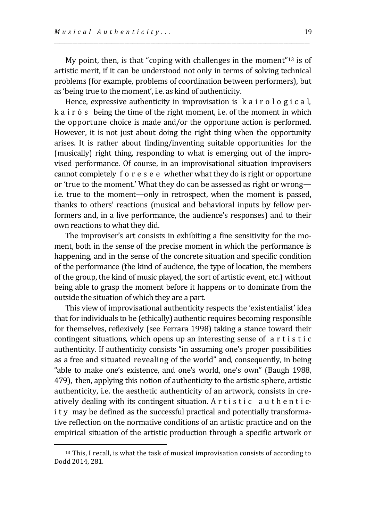My point, then, is that "coping with challenges in the moment"<sup>13</sup> is of artistic merit, if it can be understood not only in terms of solving technical problems (for example, problems of coordination between performers), but as 'being true to the moment', i.e. as kind of authenticity.

\_\_\_\_\_\_\_\_\_\_\_\_\_\_\_\_\_\_\_\_\_\_\_\_\_\_\_\_\_\_\_\_\_\_\_\_\_\_\_\_\_\_\_\_\_\_\_\_\_\_\_\_\_\_\_\_\_\_\_\_\_\_\_\_\_\_\_\_\_\_\_\_\_\_\_\_\_\_\_\_\_\_\_\_\_\_\_\_\_\_\_\_\_\_\_\_\_\_

Hence, expressive authenticity in improvisation is k a i r o l o g i c a l, k a i r ó s being the time of the right moment, i.e. of the moment in which the opportune choice is made and/or the opportune action is performed. However, it is not just about doing the right thing when the opportunity arises. It is rather about finding/inventing suitable opportunities for the (musically) right thing, responding to what is emerging out of the improvised performance. Of course, in an improvisational situation improvisers cannot completely f o r e s e e whether what they do is right or opportune or 'true to the moment.' What they do can be assessed as right or wrong i.e. true to the moment—only in retrospect, when the moment is passed, thanks to others' reactions (musical and behavioral inputs by fellow performers and, in a live performance, the audience's responses) and to their own reactions to what they did.

The improviser's art consists in exhibiting a fine sensitivity for the moment, both in the sense of the precise moment in which the performance is happening, and in the sense of the concrete situation and specific condition of the performance (the kind of audience, the type of location, the members of the group, the kind of music played, the sort of artistic event, etc.) without being able to grasp the moment before it happens or to dominate from the outside the situation of which they are a part.

This view of improvisational authenticity respects the 'existentialist' idea that for individuals to be (ethically) authentic requires becoming responsible for themselves, reflexively (see Ferrara 1998) taking a stance toward their contingent situations, which opens up an interesting sense of a r t i s t i c authenticity. If authenticity consists "in assuming one's proper possibilities as a free and situated revealing of the world" and, consequently, in being "able to make one's existence, and one's world, one's own" (Baugh 1988, 479), then, applying this notion of authenticity to the artistic sphere, artistic authenticity, i.e. the aesthetic authenticity of an artwork, consists in creatively dealing with its contingent situation. A  $r$  t i  $s$  t i  $c$  a  $u$  t  $h$   $e$  n  $t$  i  $c$ i t y may be defined as the successful practical and potentially transformative reflection on the normative conditions of an artistic practice and on the empirical situation of the artistic production through a specific artwork or

<sup>13</sup> This, I recall, is what the task of musical improvisation consists of according to Dodd 2014, 281.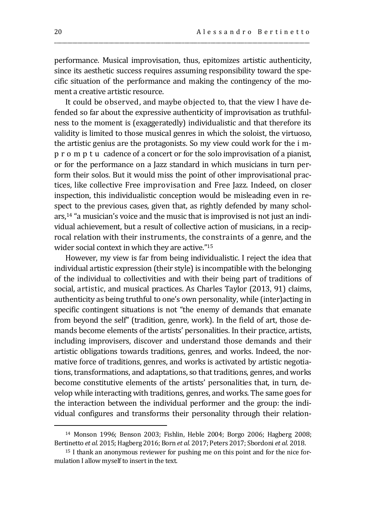performance. Musical improvisation, thus, epitomizes artistic authenticity, since its aesthetic success requires assuming responsibility toward the specific situation of the performance and making the contingency of the moment a creative artistic resource.

\_\_\_\_\_\_\_\_\_\_\_\_\_\_\_\_\_\_\_\_\_\_\_\_\_\_\_\_\_\_\_\_\_\_\_\_\_\_\_\_\_\_\_\_\_\_\_\_\_\_\_\_\_\_\_\_\_\_\_\_\_\_\_\_\_\_\_\_\_\_\_\_\_\_\_\_\_\_\_\_\_\_\_\_\_\_\_\_\_\_\_\_\_\_\_\_\_\_

It could be observed, and maybe objected to, that the view I have defended so far about the expressive authenticity of improvisation as truthfulness to the moment is (exaggeratedly) individualistic and that therefore its validity is limited to those musical genres in which the soloist, the virtuoso, the artistic genius are the protagonists. So my view could work for the i mp r o m p t u cadence of a concert or for the solo improvisation of a pianist, or for the performance on a Jazz standard in which musicians in turn perform their solos. But it would miss the point of other improvisational practices, like collective Free improvisation and Free Jazz. Indeed, on closer inspection, this individualistic conception would be misleading even in respect to the previous cases, given that, as rightly defended by many scholars,<sup>14</sup> "a musician's voice and the music that is improvised is not just an individual achievement, but a result of collective action of musicians, in a reciprocal relation with their instruments, the constraints of a genre, and the wider social context in which they are active."<sup>15</sup>

However, my view is far from being individualistic. I reject the idea that individual artistic expression (their style) is incompatible with the belonging of the individual to collectivities and with their being part of traditions of social, artistic, and musical practices. As Charles Taylor (2013, 91) claims, authenticity as being truthful to one's own personality, while (inter)acting in specific contingent situations is not "the enemy of demands that emanate from beyond the self" (tradition, genre, work). In the field of art, those demands become elements of the artists' personalities. In their practice, artists, including improvisers, discover and understand those demands and their artistic obligations towards traditions, genres, and works. Indeed, the normative force of traditions, genres, and works is activated by artistic negotiations, transformations, and adaptations, so that traditions, genres, and works become constitutive elements of the artists' personalities that, in turn, develop while interacting with traditions, genres, and works. The same goes for the interaction between the individual performer and the group: the individual configures and transforms their personality through their relation-

<sup>14</sup> Monson 1996; Benson 2003; Fishlin, Heble 2004; Borgo 2006; Hagberg 2008; Bertinetto *et al.* 2015; Hagberg 2016; Born *et al.* 2017; Peters 2017; Sbordoni *et al.* 2018.

<sup>15</sup> I thank an anonymous reviewer for pushing me on this point and for the nice formulation I allow myself to insert in the text.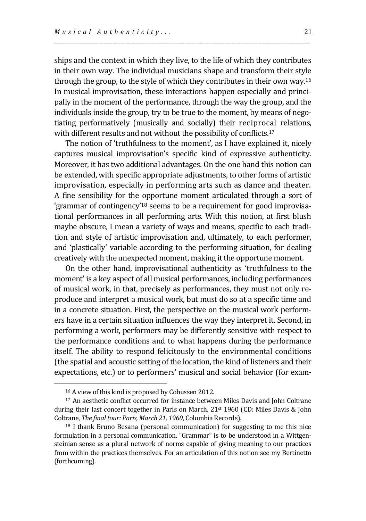ships and the context in which they live, to the life of which they contributes in their own way. The individual musicians shape and transform their style through the group, to the style of which they contributes in their own way.<sup>16</sup> In musical improvisation, these interactions happen especially and principally in the moment of the performance, through the way the group, and the individuals inside the group, try to be true to the moment, by means of negotiating performatively (musically and socially) their reciprocal relations, with different results and not without the possibility of conflicts.<sup>17</sup>

\_\_\_\_\_\_\_\_\_\_\_\_\_\_\_\_\_\_\_\_\_\_\_\_\_\_\_\_\_\_\_\_\_\_\_\_\_\_\_\_\_\_\_\_\_\_\_\_\_\_\_\_\_\_\_\_\_\_\_\_\_\_\_\_\_\_\_\_\_\_\_\_\_\_\_\_\_\_\_\_\_\_\_\_\_\_\_\_\_\_\_\_\_\_\_\_\_\_

The notion of 'truthfulness to the moment', as I have explained it, nicely captures musical improvisation's specific kind of expressive authenticity. Moreover, it has two additional advantages. On the one hand this notion can be extended, with specific appropriate adjustments, to other forms of artistic improvisation, especially in performing arts such as dance and theater. A fine sensibility for the opportune moment articulated through a sort of 'grammar of contingency'<sup>18</sup> seems to be a requirement for good improvisational performances in all performing arts. With this notion, at first blush maybe obscure, I mean a variety of ways and means, specific to each tradition and style of artistic improvisation and, ultimately, to each performer, and 'plastically' variable according to the performing situation, for dealing creatively with the unexpected moment, making it the opportune moment.

On the other hand, improvisational authenticity as 'truthfulness to the moment' is a key aspect of all musical performances, including performances of musical work, in that, precisely as performances, they must not only reproduce and interpret a musical work, but must do so at a specific time and in a concrete situation. First, the perspective on the musical work performers have in a certain situation influences the way they interpret it. Second, in performing a work, performers may be differently sensitive with respect to the performance conditions and to what happens during the performance itself. The ability to respond felicitously to the environmental conditions (the spatial and acoustic setting of the location, the kind of listeners and their expectations, etc.) or to performers' musical and social behavior (for exam-

<sup>16</sup> A view of this kind is proposed by Cobussen 2012.

<sup>17</sup> An aesthetic conflict occurred for instance between Miles Davis and John Coltrane during their last concert together in Paris on March, 21st 1960 (CD: Miles Davis & John Coltrane, *The final tour: Paris, March 21, 1960*, Columbia Records).

<sup>18</sup> I thank Bruno Besana (personal communication) for suggesting to me this nice formulation in a personal communication. "Grammar" is to be understood in a Wittgensteinian sense as a plural network of norms capable of giving meaning to our practices from within the practices themselves. For an articulation of this notion see my Bertinetto (forthcoming).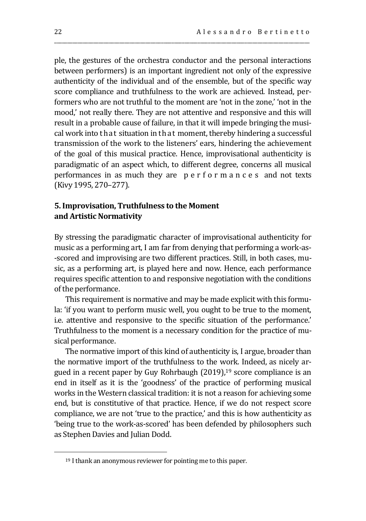ple, the gestures of the orchestra conductor and the personal interactions between performers) is an important ingredient not only of the expressive authenticity of the individual and of the ensemble, but of the specific way score compliance and truthfulness to the work are achieved. Instead, performers who are not truthful to the moment are 'not in the zone,' 'not in the mood,' not really there. They are not attentive and responsive and this will result in a probable cause of failure, in that it will impede bringing the musical work into that situation in that moment, thereby hindering a successful transmission of the work to the listeners' ears, hindering the achievement of the goal of this musical practice. Hence, improvisational authenticity is paradigmatic of an aspect which, to different degree, concerns all musical performances in as much they are p e r f o r m a n c e s and not texts (Kivy 1995, 270–277).

\_\_\_\_\_\_\_\_\_\_\_\_\_\_\_\_\_\_\_\_\_\_\_\_\_\_\_\_\_\_\_\_\_\_\_\_\_\_\_\_\_\_\_\_\_\_\_\_\_\_\_\_\_\_\_\_\_\_\_\_\_\_\_\_\_\_\_\_\_\_\_\_\_\_\_\_\_\_\_\_\_\_\_\_\_\_\_\_\_\_\_\_\_\_\_\_\_\_

# **5. Improvisation, Truthfulness to the Moment and Artistic Normativity**

By stressing the paradigmatic character of improvisational authenticity for music as a performing art, I am far from denying that performing a work-as- -scored and improvising are two different practices. Still, in both cases, music, as a performing art, is played here and now. Hence, each performance requires specific attention to and responsive negotiation with the conditions of the performance.

This requirement is normative and may be made explicit with this formula: 'if you want to perform music well, you ought to be true to the moment, i.e. attentive and responsive to the specific situation of the performance.' Truthfulness to the moment is a necessary condition for the practice of musical performance.

The normative import of this kind of authenticity is, I argue, broader than the normative import of the truthfulness to the work. Indeed, as nicely argued in a recent paper by Guy Rohrbaugh (2019),<sup>19</sup> score compliance is an end in itself as it is the 'goodness' of the practice of performing musical works in the Western classical tradition: it is not a reason for achieving some end, but is constitutive of that practice. Hence, if we do not respect score compliance, we are not 'true to the practice,' and this is how authenticity as 'being true to the work-as-scored' has been defended by philosophers such as Stephen Davies and Julian Dodd.

<sup>19</sup> I thank an anonymous reviewer for pointing me to this paper.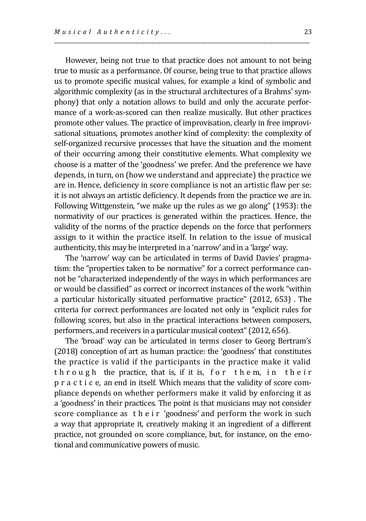However, being not true to that practice does not amount to not being true to music as a performance. Of course, being true to that practice allows us to promote specific musical values, for example a kind of symbolic and algorithmic complexity (as in the structural architectures of a Brahms' symphony) that only a notation allows to build and only the accurate performance of a work-as-scored can then realize musically. But other practices promote other values. The practice of improvisation, clearly in free improvisational situations, promotes another kind of complexity: the complexity of self-organized recursive processes that have the situation and the moment of their occurring among their constitutive elements. What complexity we choose is a matter of the 'goodness' we prefer. And the preference we have depends, in turn, on (how we understand and appreciate) the practice we are in. Hence, deficiency in score compliance is not an artistic flaw per se: it is not always an artistic deficiency. It depends from the practice we are in. Following Wittgenstein, "we make up the rules as we go along" (1953): the normativity of our practices is generated within the practices. Hence, the validity of the norms of the practice depends on the force that performers assign to it within the practice itself. In relation to the issue of musical authenticity, this may be interpreted in a 'narrow' and in a 'large' way.

\_\_\_\_\_\_\_\_\_\_\_\_\_\_\_\_\_\_\_\_\_\_\_\_\_\_\_\_\_\_\_\_\_\_\_\_\_\_\_\_\_\_\_\_\_\_\_\_\_\_\_\_\_\_\_\_\_\_\_\_\_\_\_\_\_\_\_\_\_\_\_\_\_\_\_\_\_\_\_\_\_\_\_\_\_\_\_\_\_\_\_\_\_\_\_\_\_\_

The 'narrow' way can be articulated in terms of David Davies' pragmatism: the "properties taken to be normative" for a correct performance cannot be "characterized independently of the ways in which performances are or would be classified" as correct or incorrect instances of the work "within a particular historically situated performative practice" (2012, 653) . The criteria for correct performances are located not only in "explicit rules for following scores, but also in the practical interactions between composers, performers, and receivers in a particular musical context" (2012, 656).

The 'broad' way can be articulated in terms closer to Georg Bertram's (2018) conception of art as human practice: the 'goodness' that constitutes the practice is valid if the participants in the practice make it valid th rough the practice, that is, if it is, for them, in their p r a c t i c e, an end in itself. Which means that the validity of score compliance depends on whether performers make it valid by enforcing it as a 'goodness' in their practices. The point is that musicians may not consider score compliance as the ir 'goodness' and perform the work in such a way that appropriate it, creatively making it an ingredient of a different practice, not grounded on score compliance, but, for instance, on the emotional and communicative powers of music.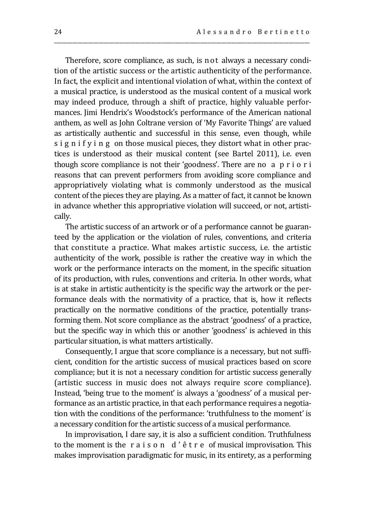Therefore, score compliance, as such, is not always a necessary condition of the artistic success or the artistic authenticity of the performance. In fact, the explicit and intentional violation of what, within the context of a musical practice, is understood as the musical content of a musical work may indeed produce, through a shift of practice, highly valuable performances. Jimi Hendrix's Woodstock's performance of the American national anthem, as well as John Coltrane version of 'My Favorite Things' are valued as artistically authentic and successful in this sense, even though, while s i g n i f y i n g on those musical pieces, they distort what in other practices is understood as their musical content (see Bartel 2011), i.e. even though score compliance is not their 'goodness'. There are no a p r i o r i reasons that can prevent performers from avoiding score compliance and appropriatively violating what is commonly understood as the musical content of the pieces they are playing. As a matter of fact, it cannot be known in advance whether this appropriative violation will succeed, or not, artistically.

\_\_\_\_\_\_\_\_\_\_\_\_\_\_\_\_\_\_\_\_\_\_\_\_\_\_\_\_\_\_\_\_\_\_\_\_\_\_\_\_\_\_\_\_\_\_\_\_\_\_\_\_\_\_\_\_\_\_\_\_\_\_\_\_\_\_\_\_\_\_\_\_\_\_\_\_\_\_\_\_\_\_\_\_\_\_\_\_\_\_\_\_\_\_\_\_\_\_

The artistic success of an artwork or of a performance cannot be guaranteed by the application or the violation of rules, conventions, and criteria that constitute a practice. What makes artistic success, i.e. the artistic authenticity of the work, possible is rather the creative way in which the work or the performance interacts on the moment, in the specific situation of its production, with rules, conventions and criteria. In other words, what is at stake in artistic authenticity is the specific way the artwork or the performance deals with the normativity of a practice, that is, how it reflects practically on the normative conditions of the practice, potentially transforming them. Not score compliance as the abstract 'goodness' of a practice, but the specific way in which this or another 'goodness' is achieved in this particular situation, is what matters artistically.

Consequently, I argue that score compliance is a necessary, but not sufficient, condition for the artistic success of musical practices based on score compliance; but it is not a necessary condition for artistic success generally (artistic success in music does not always require score compliance). Instead, 'being true to the moment' is always a 'goodness' of a musical performance as an artistic practice, in that each performance requires a negotiation with the conditions of the performance: 'truthfulness to the moment' is a necessary condition for the artistic success of a musical performance.

In improvisation, I dare say, it is also a sufficient condition. Truthfulness to the moment is the r a i s o n d ' ê t r e of musical improvisation. This makes improvisation paradigmatic for music, in its entirety, as a performing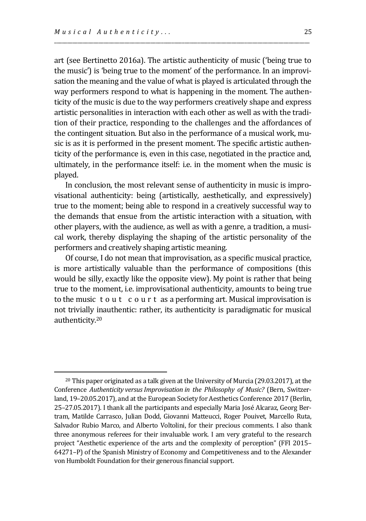$\overline{a}$ 

art (see Bertinetto 2016a). The artistic authenticity of music ('being true to the music') is 'being true to the moment' of the performance. In an improvisation the meaning and the value of what is played is articulated through the way performers respond to what is happening in the moment. The authenticity of the music is due to the way performers creatively shape and express artistic personalities in interaction with each other as well as with the tradition of their practice, responding to the challenges and the affordances of the contingent situation. But also in the performance of a musical work, music is as it is performed in the present moment. The specific artistic authenticity of the performance is, even in this case, negotiated in the practice and, ultimately, in the performance itself: i.e. in the moment when the music is played.

\_\_\_\_\_\_\_\_\_\_\_\_\_\_\_\_\_\_\_\_\_\_\_\_\_\_\_\_\_\_\_\_\_\_\_\_\_\_\_\_\_\_\_\_\_\_\_\_\_\_\_\_\_\_\_\_\_\_\_\_\_\_\_\_\_\_\_\_\_\_\_\_\_\_\_\_\_\_\_\_\_\_\_\_\_\_\_\_\_\_\_\_\_\_\_\_\_\_

In conclusion, the most relevant sense of authenticity in music is improvisational authenticity: being (artistically, aesthetically, and expressively) true to the moment; being able to respond in a creatively successful way to the demands that ensue from the artistic interaction with a situation, with other players, with the audience, as well as with a genre, a tradition, a musical work, thereby displaying the shaping of the artistic personality of the performers and creatively shaping artistic meaning.

Of course, I do not mean that improvisation, as a specific musical practice, is more artistically valuable than the performance of compositions (this would be silly, exactly like the opposite view). My point is rather that being true to the moment, i.e. improvisational authenticity, amounts to being true to the music t o u t c o u r t as a performing art. Musical improvisation is not trivially inauthentic: rather, its authenticity is paradigmatic for musical authenticity.<sup>20</sup>

<sup>20</sup> This paper originated as a talk given at the University of Murcia (29.03.2017), at the Conference *Authenticity versusImprovisation in the Philosophy of Music?* (Bern, Switzerland, 19–20.05.2017), and at the European Society for Aesthetics Conference 2017 (Berlin, 25–27.05.2017). I thank all the participants and especially Maria José Alcaraz, Georg Bertram, Matilde Carrasco, Julian Dodd, Giovanni Matteucci, Roger Pouivet, Marcello Ruta, Salvador Rubio Marco, and Alberto Voltolini, for their precious comments. I also thank three anonymous referees for their invaluable work. I am very grateful to the research project "Aesthetic experience of the arts and the complexity of perception" (FFI 2015– 64271–P) of the Spanish Ministry of Economy and Competitiveness and to the Alexander von Humboldt Foundation for their generous financial support.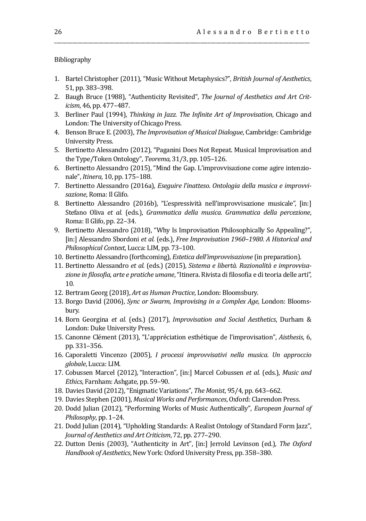Bibliography

1. Bartel Christopher (2011), "Music Without Metaphysics?", *British Journal of Aesthetics*, 51, pp. 383–398.

\_\_\_\_\_\_\_\_\_\_\_\_\_\_\_\_\_\_\_\_\_\_\_\_\_\_\_\_\_\_\_\_\_\_\_\_\_\_\_\_\_\_\_\_\_\_\_\_\_\_\_\_\_\_\_\_\_\_\_\_\_\_\_\_\_\_\_\_\_\_\_\_\_\_\_\_\_\_\_\_\_\_\_\_\_\_\_\_\_\_\_\_\_\_\_\_\_\_

- 2. Baugh Bruce (1988), "Authenticity Revisited", *The Journal of Aesthetics and Art Criticism*, 46, pp. 477–487.
- 3. Berliner Paul (1994), *Thinking in Jazz. The Infinite Art of Improvisation*, Chicago and London: The University of Chicago Press.
- 4. Benson Bruce E. (2003), *The Improvisation of Musical Dialogue*, Cambridge: Cambridge University Press.
- 5. Bertinetto Alessandro (2012), "Paganini Does Not Repeat. Musical Improvisation and the Type/Token Ontology", *Teorema,* 31/3, pp. 105–126.
- 6. Bertinetto Alessandro (2015), "Mind the Gap. L'improvvisazione come agire intenzionale", *Itinera*, 10, pp. 175–188.
- 7. Bertinetto Alessandro (2016a), *Eseguire l'inatteso. Ontologia della musica e improvvisazione*, Roma: Il Glifo.
- 8. Bertinetto Alessandro (2016b), "L'espressività nell'improvvisazione musicale", [in:] Stefano Oliva *et al.* (eds.), *Grammatica della musica. Grammatica della percezione*, Roma: Il Glifo, pp. 22–34.
- 9. Bertinetto Alessandro (2018), "Why Is Improvisation Philosophically So Appealing?", [in:] Alessandro Sbordoni *et al.* (eds.), *Free Improvisation 1960–1980. A Historical and Philosophical Context*, Lucca: LIM, pp. 73–100.
- 10. Bertinetto Alessandro (forthcoming), *Estetica dell'improvvisazione* (in preparation).
- 11. Bertinetto Alessandro *et al.* (eds.) (2015), *Sistema e libertà. Razionalità e improvvisazione in filosofia, arte e pratiche umane*, "Itinera. Rivista di filosofia e di teoria delle arti", 10.
- 12. Bertram Georg (2018), *Art as Human Practice*, London: Bloomsbury.
- 13. Borgo David (2006), *Sync or Swarm, Improvising in a Complex Age*, London: Bloomsbury.
- 14. Born Georgina *et al.* (eds.) (2017), *Improvisation and Social Aesthetics*, Durham & London: Duke University Press.
- 15. Canonne Clément (2013), "L'appréciation esthétique de l'improvisation", *Aisthesis*, 6, pp. 331–356.
- 16. Caporaletti Vincenzo (2005), *I processi improvvisativi nella musica. Un approccio globale*, Lucca: LIM.
- 17. Cobussen Marcel (2012),"Interaction", [in:] Marcel Cobussen *et al.* (eds.), *Music and Ethics*, Farnham: Ashgate, pp. 59–90.
- 18. Davies David (2012), "Enigmatic Variations", *The Monist*, 95/4, pp. 643–662.
- 19. Davies Stephen (2001), *Musical Works and Performances*, Oxford: Clarendon Press.
- 20. Dodd Julian (2012), "Performing Works of Music Authentically", *European Journal of Philosophy*, pp. 1–24.
- 21. Dodd Julian (2014), "Upholding Standards: A Realist Ontology of Standard Form Jazz", *Journal of Aesthetics and Art Criticism*, 72, pp. 277–290.
- 22. Dutton Denis (2003), "Authenticity in Art", [in:] Jerrold Levinson (ed.), *The Oxford Handbook of Aesthetics*, New York: Oxford University Press, pp. 358–380.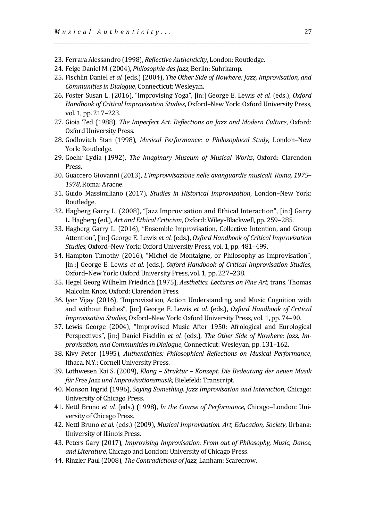- 23. Ferrara Alessandro (1998), *Reflective Authenticity*, London: Routledge.
- 24. Feige Daniel M. (2004), *Philosophie des Jazz*, Berlin: Suhrkamp.
- 25. Fischlin Daniel *et al.* (eds.) (2004), *The Other Side of Nowhere: Jazz, Improvisation, and Communities in Dialogue*, Connecticut: Wesleyan.

\_\_\_\_\_\_\_\_\_\_\_\_\_\_\_\_\_\_\_\_\_\_\_\_\_\_\_\_\_\_\_\_\_\_\_\_\_\_\_\_\_\_\_\_\_\_\_\_\_\_\_\_\_\_\_\_\_\_\_\_\_\_\_\_\_\_\_\_\_\_\_\_\_\_\_\_\_\_\_\_\_\_\_\_\_\_\_\_\_\_\_\_\_\_\_\_\_\_

- 26. Foster Susan L. (2016), "Improvising Yoga", [in:] George E. Lewis *et al.* (eds.), *Oxford Handbook of Critical Improvisation Studies*, Oxford–New York: Oxford University Press, vol. 1, pp. 217–223.
- 27. Gioia Ted (1988), *The Imperfect Art. Reflections on Jazz and Modern Culture*, Oxford: Oxford University Press.
- 28. Godlovitch Stan (1998), *Musical Performance: a Philosophical Study*, London–New York: Routledge.
- 29. Goehr Lydia (1992), *The Imaginary Museum of Musical Works*, Oxford: Clarendon Press.
- 30. Guaccero Giovanni (2013), *L'improvvisazione nelle avanguardie musicali. Roma, 1975– 1978*, Roma: Aracne.
- 31. Guido Massimiliano (2017), *Studies in Historical Improvisation*, London–New York: Routledge.
- 32. Hagberg Garry L. (2008), "Jazz Improvisation and Ethical Interaction", [in:] Garry L. Hagberg (ed.), *Art and Ethical Criticism*, Oxford: Wiley-Blackwell, pp. 259–285.
- 33. Hagberg Garry L. (2016), "Ensemble Improvisation, Collective Intention, and Group Attention", [in:] George E. Lewis *et al.* (eds.), *Oxford Handbook of Critical Improvisation Studies*, Oxford–New York: Oxford University Press, vol. 1, pp. 481–499.
- 34. Hampton Timothy (2016), "Michel de Montaigne, or Philosophy as Improvisation", [in :] George E. Lewis *et al.* (eds.), *Oxford Handbook of Critical Improvisation Studies*, Oxford–New York: Oxford University Press, vol. 1, pp. 227–238.
- 35. Hegel Georg Wilhelm Friedrich (1975), *Aesthetics. Lectures on Fine Art*, trans. Thomas Malcolm Knox, Oxford: Clarendon Press.
- 36. Iyer Vijay (2016), "Improvisation, Action Understanding, and Music Cognition with and without Bodies", [in:] George E. Lewis *et al.* (eds.), *Oxford Handbook of Critical Improvisation Studies*, Oxford–New York: Oxford University Press, vol. 1, pp. 74–90.
- 37. Lewis George (2004), "Improvised Music After 1950: Afrological and Eurological Perspectives", [in:] Daniel Fischlin *et al.* (eds.), *The Other Side of Nowhere: Jazz, Improvisation, and Communities in Dialogue*, Connecticut: Wesleyan, pp. 131–162.
- 38. Kivy Peter (1995), *Authenticities: Philosophical Reflections on Musical Performance*, Ithaca, N.Y.: Cornell University Press.
- 39. Lothwesen Kai S. (2009), *Klang – Struktur – Konzept. Die Bedeutung der neuen Musik für Free Jazz und Improvisationsmusik*, Bielefeld: Transcript.
- 40. Monson Ingrid (1996), *Saying Something. Jazz Improvisation and Interaction*, Chicago: University of Chicago Press.
- 41. Nettl Bruno *et al.* (eds.) (1998), *In the Course of Performance*, Chicago–London: University of Chicago Press.
- 42. Nettl Bruno *et al.* (eds.) (2009), *Musical Improvisation. Art, Education, Society*, Urbana: University of Illinois Press.
- 43. Peters Gary (2017), *Improvising Improvisation. From out of Philosophy, Music, Dance, and Literature*, Chicago and London: University of Chicago Press.
- 44. Rinzler Paul (2008), *The Contradictions of Jazz*, Lanham: Scarecrow.